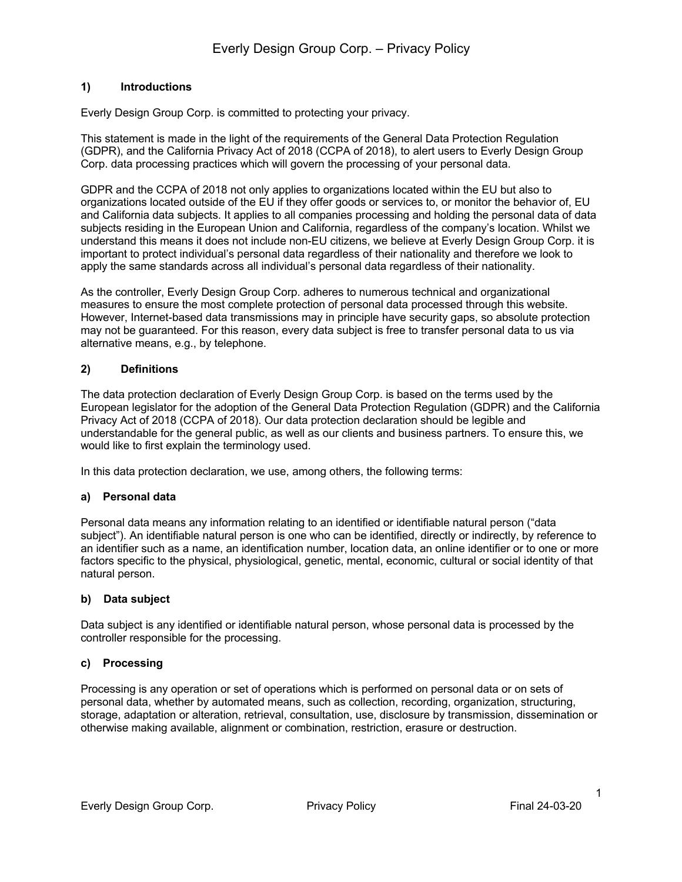# **1) Introductions**

Everly Design Group Corp. is committed to protecting your privacy.

This statement is made in the light of the requirements of the General Data Protection Regulation (GDPR), and the California Privacy Act of 2018 (CCPA of 2018), to alert users to Everly Design Group Corp. data processing practices which will govern the processing of your personal data.

GDPR and the CCPA of 2018 not only applies to organizations located within the EU but also to organizations located outside of the EU if they offer goods or services to, or monitor the behavior of, EU and California data subjects. It applies to all companies processing and holding the personal data of data subjects residing in the European Union and California, regardless of the company's location. Whilst we understand this means it does not include non-EU citizens, we believe at Everly Design Group Corp. it is important to protect individual's personal data regardless of their nationality and therefore we look to apply the same standards across all individual's personal data regardless of their nationality.

As the controller, Everly Design Group Corp. adheres to numerous technical and organizational measures to ensure the most complete protection of personal data processed through this website. However, Internet-based data transmissions may in principle have security gaps, so absolute protection may not be guaranteed. For this reason, every data subject is free to transfer personal data to us via alternative means, e.g., by telephone.

# **2) Definitions**

The data protection declaration of Everly Design Group Corp. is based on the terms used by the European legislator for the adoption of the General Data Protection Regulation (GDPR) and the California Privacy Act of 2018 (CCPA of 2018). Our data protection declaration should be legible and understandable for the general public, as well as our clients and business partners. To ensure this, we would like to first explain the terminology used.

In this data protection declaration, we use, among others, the following terms:

## **a) Personal data**

Personal data means any information relating to an identified or identifiable natural person ("data subject"). An identifiable natural person is one who can be identified, directly or indirectly, by reference to an identifier such as a name, an identification number, location data, an online identifier or to one or more factors specific to the physical, physiological, genetic, mental, economic, cultural or social identity of that natural person.

## **b) Data subject**

Data subject is any identified or identifiable natural person, whose personal data is processed by the controller responsible for the processing.

## **c) Processing**

Processing is any operation or set of operations which is performed on personal data or on sets of personal data, whether by automated means, such as collection, recording, organization, structuring, storage, adaptation or alteration, retrieval, consultation, use, disclosure by transmission, dissemination or otherwise making available, alignment or combination, restriction, erasure or destruction.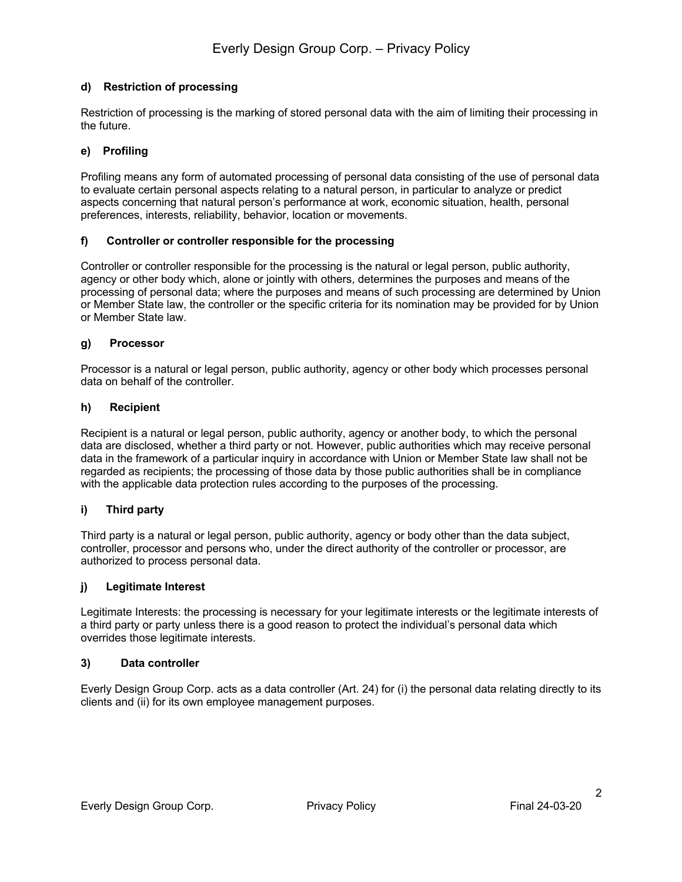# **d) Restriction of processing**

Restriction of processing is the marking of stored personal data with the aim of limiting their processing in the future.

## **e) Profiling**

Profiling means any form of automated processing of personal data consisting of the use of personal data to evaluate certain personal aspects relating to a natural person, in particular to analyze or predict aspects concerning that natural person's performance at work, economic situation, health, personal preferences, interests, reliability, behavior, location or movements.

## **f) Controller or controller responsible for the processing**

Controller or controller responsible for the processing is the natural or legal person, public authority, agency or other body which, alone or jointly with others, determines the purposes and means of the processing of personal data; where the purposes and means of such processing are determined by Union or Member State law, the controller or the specific criteria for its nomination may be provided for by Union or Member State law.

## **g) Processor**

Processor is a natural or legal person, public authority, agency or other body which processes personal data on behalf of the controller.

#### **h) Recipient**

Recipient is a natural or legal person, public authority, agency or another body, to which the personal data are disclosed, whether a third party or not. However, public authorities which may receive personal data in the framework of a particular inquiry in accordance with Union or Member State law shall not be regarded as recipients; the processing of those data by those public authorities shall be in compliance with the applicable data protection rules according to the purposes of the processing.

## **i) Third party**

Third party is a natural or legal person, public authority, agency or body other than the data subject, controller, processor and persons who, under the direct authority of the controller or processor, are authorized to process personal data.

#### **j) Legitimate Interest**

Legitimate Interests: the processing is necessary for your legitimate interests or the legitimate interests of a third party or party unless there is a good reason to protect the individual's personal data which overrides those legitimate interests.

#### **3) Data controller**

Everly Design Group Corp. acts as a data controller (Art. 24) for (i) the personal data relating directly to its clients and (ii) for its own employee management purposes.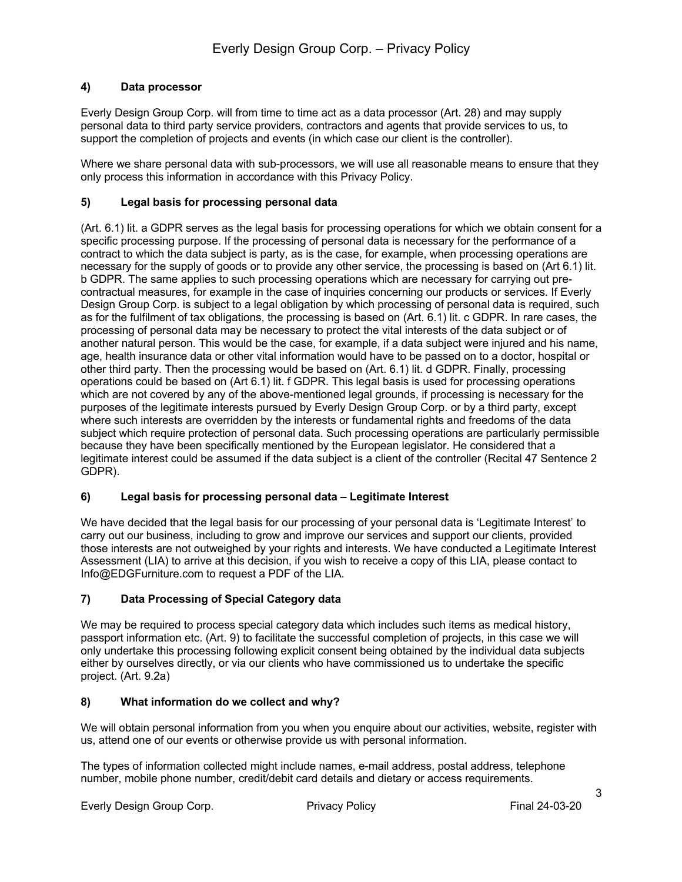# **4) Data processor**

Everly Design Group Corp. will from time to time act as a data processor (Art. 28) and may supply personal data to third party service providers, contractors and agents that provide services to us, to support the completion of projects and events (in which case our client is the controller).

Where we share personal data with sub-processors, we will use all reasonable means to ensure that they only process this information in accordance with this Privacy Policy.

## **5) Legal basis for processing personal data**

(Art. 6.1) lit. a GDPR serves as the legal basis for processing operations for which we obtain consent for a specific processing purpose. If the processing of personal data is necessary for the performance of a contract to which the data subject is party, as is the case, for example, when processing operations are necessary for the supply of goods or to provide any other service, the processing is based on (Art 6.1) lit. b GDPR. The same applies to such processing operations which are necessary for carrying out precontractual measures, for example in the case of inquiries concerning our products or services. If Everly Design Group Corp. is subject to a legal obligation by which processing of personal data is required, such as for the fulfilment of tax obligations, the processing is based on (Art. 6.1) lit. c GDPR. In rare cases, the processing of personal data may be necessary to protect the vital interests of the data subject or of another natural person. This would be the case, for example, if a data subject were injured and his name, age, health insurance data or other vital information would have to be passed on to a doctor, hospital or other third party. Then the processing would be based on (Art. 6.1) lit. d GDPR. Finally, processing operations could be based on (Art 6.1) lit. f GDPR. This legal basis is used for processing operations which are not covered by any of the above-mentioned legal grounds, if processing is necessary for the purposes of the legitimate interests pursued by Everly Design Group Corp. or by a third party, except where such interests are overridden by the interests or fundamental rights and freedoms of the data subject which require protection of personal data. Such processing operations are particularly permissible because they have been specifically mentioned by the European legislator. He considered that a legitimate interest could be assumed if the data subject is a client of the controller (Recital 47 Sentence 2 GDPR).

## **6) Legal basis for processing personal data – Legitimate Interest**

We have decided that the legal basis for our processing of your personal data is 'Legitimate Interest' to carry out our business, including to grow and improve our services and support our clients, provided those interests are not outweighed by your rights and interests. We have conducted a Legitimate Interest Assessment (LIA) to arrive at this decision, if you wish to receive a copy of this LIA, please contact to Info@EDGFurniture.com to request a PDF of the LIA.

# **7) Data Processing of Special Category data**

We may be required to process special category data which includes such items as medical history, passport information etc. (Art. 9) to facilitate the successful completion of projects, in this case we will only undertake this processing following explicit consent being obtained by the individual data subjects either by ourselves directly, or via our clients who have commissioned us to undertake the specific project. (Art. 9.2a)

## **8) What information do we collect and why?**

We will obtain personal information from you when you enquire about our activities, website, register with us, attend one of our events or otherwise provide us with personal information.

The types of information collected might include names, e-mail address, postal address, telephone number, mobile phone number, credit/debit card details and dietary or access requirements.

Everly Design Group Corp. Privacy Policy Final 24-03-20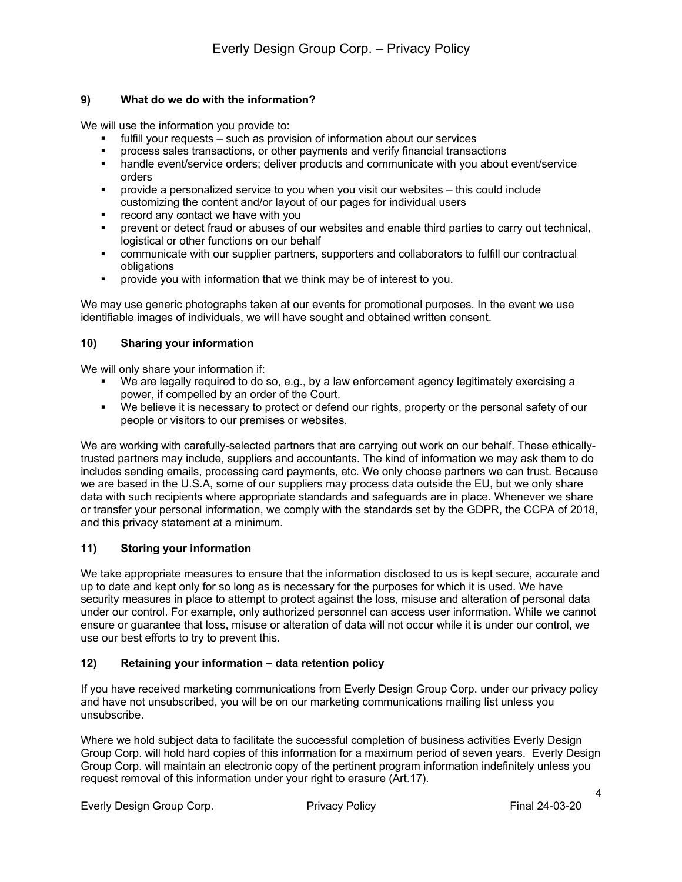## **9) What do we do with the information?**

We will use the information you provide to:

- fulfill your requests such as provision of information about our services
- § process sales transactions, or other payments and verify financial transactions
- handle event/service orders; deliver products and communicate with you about event/service orders
- § provide a personalized service to you when you visit our websites this could include customizing the content and/or layout of our pages for individual users
- record any contact we have with you
- § prevent or detect fraud or abuses of our websites and enable third parties to carry out technical, logistical or other functions on our behalf
- § communicate with our supplier partners, supporters and collaborators to fulfill our contractual obligations
- **•** provide you with information that we think may be of interest to you.

We may use generic photographs taken at our events for promotional purposes. In the event we use identifiable images of individuals, we will have sought and obtained written consent.

# **10) Sharing your information**

We will only share your information if:

- § We are legally required to do so, e.g., by a law enforcement agency legitimately exercising a power, if compelled by an order of the Court.
- We believe it is necessary to protect or defend our rights, property or the personal safety of our people or visitors to our premises or websites.

We are working with carefully-selected partners that are carrying out work on our behalf. These ethicallytrusted partners may include, suppliers and accountants. The kind of information we may ask them to do includes sending emails, processing card payments, etc. We only choose partners we can trust. Because we are based in the U.S.A, some of our suppliers may process data outside the EU, but we only share data with such recipients where appropriate standards and safeguards are in place. Whenever we share or transfer your personal information, we comply with the standards set by the GDPR, the CCPA of 2018, and this privacy statement at a minimum.

## **11) Storing your information**

We take appropriate measures to ensure that the information disclosed to us is kept secure, accurate and up to date and kept only for so long as is necessary for the purposes for which it is used. We have security measures in place to attempt to protect against the loss, misuse and alteration of personal data under our control. For example, only authorized personnel can access user information. While we cannot ensure or guarantee that loss, misuse or alteration of data will not occur while it is under our control, we use our best efforts to try to prevent this.

## **12) Retaining your information – data retention policy**

If you have received marketing communications from Everly Design Group Corp. under our privacy policy and have not unsubscribed, you will be on our marketing communications mailing list unless you unsubscribe.

Where we hold subject data to facilitate the successful completion of business activities Everly Design Group Corp. will hold hard copies of this information for a maximum period of seven years. Everly Design Group Corp. will maintain an electronic copy of the pertinent program information indefinitely unless you request removal of this information under your right to erasure (Art.17).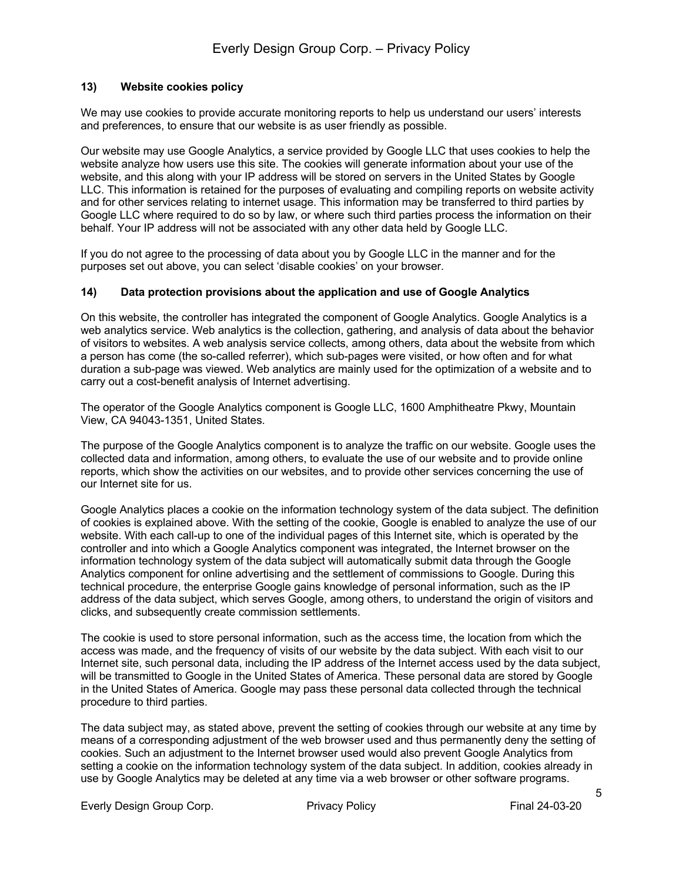## **13) Website cookies policy**

We may use cookies to provide accurate monitoring reports to help us understand our users' interests and preferences, to ensure that our website is as user friendly as possible.

Our website may use Google Analytics, a service provided by Google LLC that uses cookies to help the website analyze how users use this site. The cookies will generate information about your use of the website, and this along with your IP address will be stored on servers in the United States by Google LLC. This information is retained for the purposes of evaluating and compiling reports on website activity and for other services relating to internet usage. This information may be transferred to third parties by Google LLC where required to do so by law, or where such third parties process the information on their behalf. Your IP address will not be associated with any other data held by Google LLC.

If you do not agree to the processing of data about you by Google LLC in the manner and for the purposes set out above, you can select 'disable cookies' on your browser.

#### **14) Data protection provisions about the application and use of Google Analytics**

On this website, the controller has integrated the component of Google Analytics. Google Analytics is a web analytics service. Web analytics is the collection, gathering, and analysis of data about the behavior of visitors to websites. A web analysis service collects, among others, data about the website from which a person has come (the so-called referrer), which sub-pages were visited, or how often and for what duration a sub-page was viewed. Web analytics are mainly used for the optimization of a website and to carry out a cost-benefit analysis of Internet advertising.

The operator of the Google Analytics component is Google LLC, 1600 Amphitheatre Pkwy, Mountain View, CA 94043-1351, United States.

The purpose of the Google Analytics component is to analyze the traffic on our website. Google uses the collected data and information, among others, to evaluate the use of our website and to provide online reports, which show the activities on our websites, and to provide other services concerning the use of our Internet site for us.

Google Analytics places a cookie on the information technology system of the data subject. The definition of cookies is explained above. With the setting of the cookie, Google is enabled to analyze the use of our website. With each call-up to one of the individual pages of this Internet site, which is operated by the controller and into which a Google Analytics component was integrated, the Internet browser on the information technology system of the data subject will automatically submit data through the Google Analytics component for online advertising and the settlement of commissions to Google. During this technical procedure, the enterprise Google gains knowledge of personal information, such as the IP address of the data subject, which serves Google, among others, to understand the origin of visitors and clicks, and subsequently create commission settlements.

The cookie is used to store personal information, such as the access time, the location from which the access was made, and the frequency of visits of our website by the data subject. With each visit to our Internet site, such personal data, including the IP address of the Internet access used by the data subject, will be transmitted to Google in the United States of America. These personal data are stored by Google in the United States of America. Google may pass these personal data collected through the technical procedure to third parties.

The data subject may, as stated above, prevent the setting of cookies through our website at any time by means of a corresponding adjustment of the web browser used and thus permanently deny the setting of cookies. Such an adjustment to the Internet browser used would also prevent Google Analytics from setting a cookie on the information technology system of the data subject. In addition, cookies already in use by Google Analytics may be deleted at any time via a web browser or other software programs.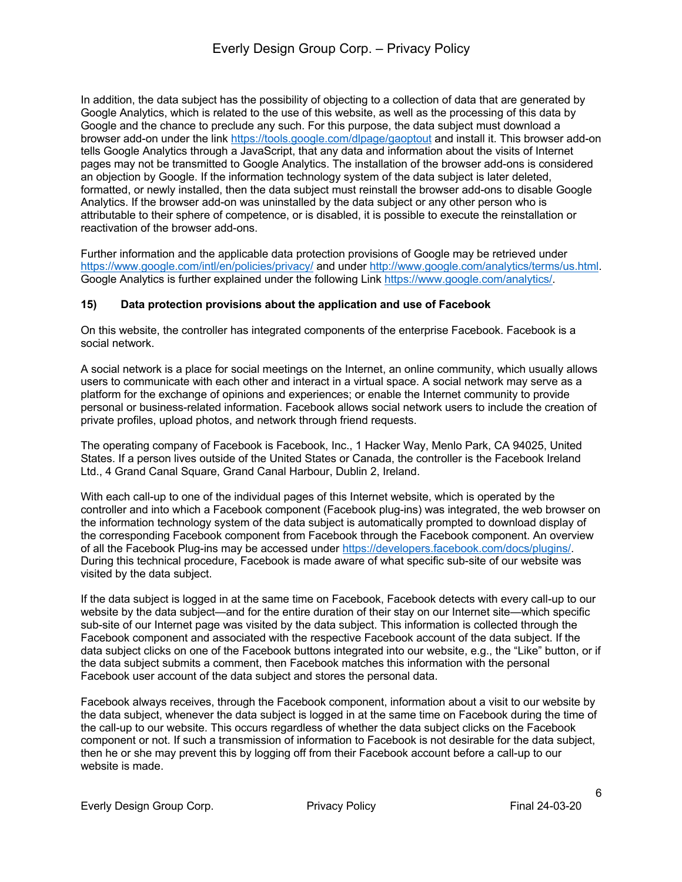In addition, the data subject has the possibility of objecting to a collection of data that are generated by Google Analytics, which is related to the use of this website, as well as the processing of this data by Google and the chance to preclude any such. For this purpose, the data subject must download a browser add-on under the link https://tools.google.com/dlpage/gaoptout and install it. This browser add-on tells Google Analytics through a JavaScript, that any data and information about the visits of Internet pages may not be transmitted to Google Analytics. The installation of the browser add-ons is considered an objection by Google. If the information technology system of the data subject is later deleted, formatted, or newly installed, then the data subject must reinstall the browser add-ons to disable Google Analytics. If the browser add-on was uninstalled by the data subject or any other person who is attributable to their sphere of competence, or is disabled, it is possible to execute the reinstallation or reactivation of the browser add-ons.

Further information and the applicable data protection provisions of Google may be retrieved under https://www.google.com/intl/en/policies/privacy/ and under http://www.google.com/analytics/terms/us.html. Google Analytics is further explained under the following Link https://www.google.com/analytics/.

## **15) Data protection provisions about the application and use of Facebook**

On this website, the controller has integrated components of the enterprise Facebook. Facebook is a social network.

A social network is a place for social meetings on the Internet, an online community, which usually allows users to communicate with each other and interact in a virtual space. A social network may serve as a platform for the exchange of opinions and experiences; or enable the Internet community to provide personal or business-related information. Facebook allows social network users to include the creation of private profiles, upload photos, and network through friend requests.

The operating company of Facebook is Facebook, Inc., 1 Hacker Way, Menlo Park, CA 94025, United States. If a person lives outside of the United States or Canada, the controller is the Facebook Ireland Ltd., 4 Grand Canal Square, Grand Canal Harbour, Dublin 2, Ireland.

With each call-up to one of the individual pages of this Internet website, which is operated by the controller and into which a Facebook component (Facebook plug-ins) was integrated, the web browser on the information technology system of the data subject is automatically prompted to download display of the corresponding Facebook component from Facebook through the Facebook component. An overview of all the Facebook Plug-ins may be accessed under https://developers.facebook.com/docs/plugins/. During this technical procedure, Facebook is made aware of what specific sub-site of our website was visited by the data subject.

If the data subject is logged in at the same time on Facebook, Facebook detects with every call-up to our website by the data subject—and for the entire duration of their stay on our Internet site—which specific sub-site of our Internet page was visited by the data subject. This information is collected through the Facebook component and associated with the respective Facebook account of the data subject. If the data subject clicks on one of the Facebook buttons integrated into our website, e.g., the "Like" button, or if the data subject submits a comment, then Facebook matches this information with the personal Facebook user account of the data subject and stores the personal data.

Facebook always receives, through the Facebook component, information about a visit to our website by the data subject, whenever the data subject is logged in at the same time on Facebook during the time of the call-up to our website. This occurs regardless of whether the data subject clicks on the Facebook component or not. If such a transmission of information to Facebook is not desirable for the data subject, then he or she may prevent this by logging off from their Facebook account before a call-up to our website is made.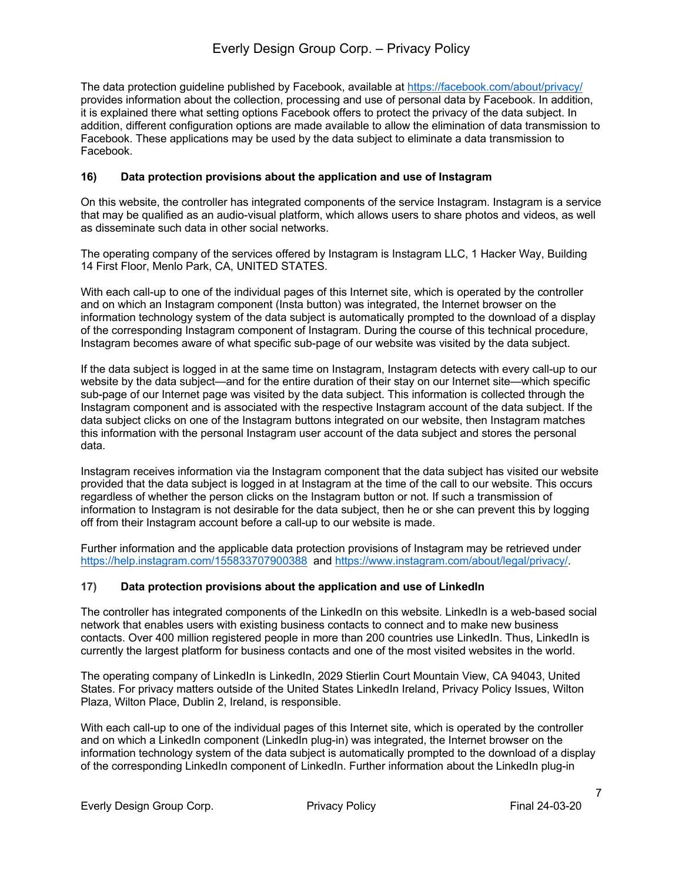The data protection guideline published by Facebook, available at https://facebook.com/about/privacy/ provides information about the collection, processing and use of personal data by Facebook. In addition, it is explained there what setting options Facebook offers to protect the privacy of the data subject. In addition, different configuration options are made available to allow the elimination of data transmission to Facebook. These applications may be used by the data subject to eliminate a data transmission to Facebook.

## **16) Data protection provisions about the application and use of Instagram**

On this website, the controller has integrated components of the service Instagram. Instagram is a service that may be qualified as an audio-visual platform, which allows users to share photos and videos, as well as disseminate such data in other social networks.

The operating company of the services offered by Instagram is Instagram LLC, 1 Hacker Way, Building 14 First Floor, Menlo Park, CA, UNITED STATES.

With each call-up to one of the individual pages of this Internet site, which is operated by the controller and on which an Instagram component (Insta button) was integrated, the Internet browser on the information technology system of the data subject is automatically prompted to the download of a display of the corresponding Instagram component of Instagram. During the course of this technical procedure, Instagram becomes aware of what specific sub-page of our website was visited by the data subject.

If the data subject is logged in at the same time on Instagram, Instagram detects with every call-up to our website by the data subject—and for the entire duration of their stay on our Internet site—which specific sub-page of our Internet page was visited by the data subject. This information is collected through the Instagram component and is associated with the respective Instagram account of the data subject. If the data subject clicks on one of the Instagram buttons integrated on our website, then Instagram matches this information with the personal Instagram user account of the data subject and stores the personal data.

Instagram receives information via the Instagram component that the data subject has visited our website provided that the data subject is logged in at Instagram at the time of the call to our website. This occurs regardless of whether the person clicks on the Instagram button or not. If such a transmission of information to Instagram is not desirable for the data subject, then he or she can prevent this by logging off from their Instagram account before a call-up to our website is made.

Further information and the applicable data protection provisions of Instagram may be retrieved under https://help.instagram.com/155833707900388 and https://www.instagram.com/about/legal/privacy/.

## **17) Data protection provisions about the application and use of LinkedIn**

The controller has integrated components of the LinkedIn on this website. LinkedIn is a web-based social network that enables users with existing business contacts to connect and to make new business contacts. Over 400 million registered people in more than 200 countries use LinkedIn. Thus, LinkedIn is currently the largest platform for business contacts and one of the most visited websites in the world.

The operating company of LinkedIn is LinkedIn, 2029 Stierlin Court Mountain View, CA 94043, United States. For privacy matters outside of the United States LinkedIn Ireland, Privacy Policy Issues, Wilton Plaza, Wilton Place, Dublin 2, Ireland, is responsible.

With each call-up to one of the individual pages of this Internet site, which is operated by the controller and on which a LinkedIn component (LinkedIn plug-in) was integrated, the Internet browser on the information technology system of the data subject is automatically prompted to the download of a display of the corresponding LinkedIn component of LinkedIn. Further information about the LinkedIn plug-in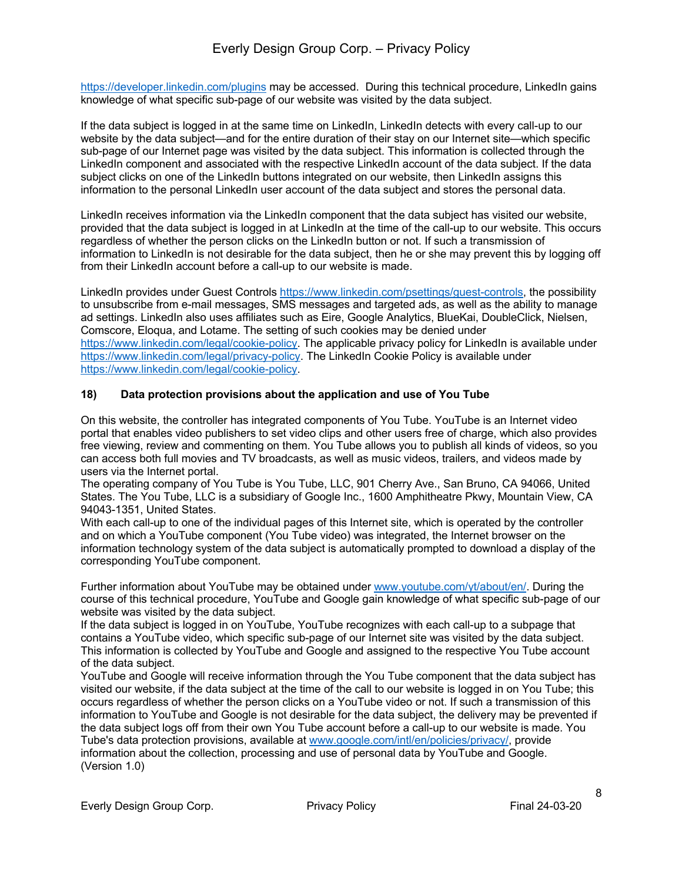https://developer.linkedin.com/plugins may be accessed. During this technical procedure, LinkedIn gains knowledge of what specific sub-page of our website was visited by the data subject.

If the data subject is logged in at the same time on LinkedIn, LinkedIn detects with every call-up to our website by the data subject—and for the entire duration of their stay on our Internet site—which specific sub-page of our Internet page was visited by the data subject. This information is collected through the LinkedIn component and associated with the respective LinkedIn account of the data subject. If the data subject clicks on one of the LinkedIn buttons integrated on our website, then LinkedIn assigns this information to the personal LinkedIn user account of the data subject and stores the personal data.

LinkedIn receives information via the LinkedIn component that the data subject has visited our website, provided that the data subject is logged in at LinkedIn at the time of the call-up to our website. This occurs regardless of whether the person clicks on the LinkedIn button or not. If such a transmission of information to LinkedIn is not desirable for the data subject, then he or she may prevent this by logging off from their LinkedIn account before a call-up to our website is made.

LinkedIn provides under Guest Controls https://www.linkedin.com/psettings/guest-controls, the possibility to unsubscribe from e-mail messages, SMS messages and targeted ads, as well as the ability to manage ad settings. LinkedIn also uses affiliates such as Eire, Google Analytics, BlueKai, DoubleClick, Nielsen, Comscore, Eloqua, and Lotame. The setting of such cookies may be denied under https://www.linkedin.com/legal/cookie-policy. The applicable privacy policy for LinkedIn is available under https://www.linkedin.com/legal/privacy-policy. The LinkedIn Cookie Policy is available under https://www.linkedin.com/legal/cookie-policy.

# **18) Data protection provisions about the application and use of You Tube**

On this website, the controller has integrated components of You Tube. YouTube is an Internet video portal that enables video publishers to set video clips and other users free of charge, which also provides free viewing, review and commenting on them. You Tube allows you to publish all kinds of videos, so you can access both full movies and TV broadcasts, as well as music videos, trailers, and videos made by users via the Internet portal.

The operating company of You Tube is You Tube, LLC, 901 Cherry Ave., San Bruno, CA 94066, United States. The You Tube, LLC is a subsidiary of Google Inc., 1600 Amphitheatre Pkwy, Mountain View, CA 94043-1351, United States.

With each call-up to one of the individual pages of this Internet site, which is operated by the controller and on which a YouTube component (You Tube video) was integrated, the Internet browser on the information technology system of the data subject is automatically prompted to download a display of the corresponding YouTube component.

Further information about YouTube may be obtained under www.youtube.com/yt/about/en/. During the course of this technical procedure, YouTube and Google gain knowledge of what specific sub-page of our website was visited by the data subject.

If the data subject is logged in on YouTube, YouTube recognizes with each call-up to a subpage that contains a YouTube video, which specific sub-page of our Internet site was visited by the data subject. This information is collected by YouTube and Google and assigned to the respective You Tube account of the data subject.

YouTube and Google will receive information through the You Tube component that the data subject has visited our website, if the data subject at the time of the call to our website is logged in on You Tube; this occurs regardless of whether the person clicks on a YouTube video or not. If such a transmission of this information to YouTube and Google is not desirable for the data subject, the delivery may be prevented if the data subject logs off from their own You Tube account before a call-up to our website is made. You Tube's data protection provisions, available at www.google.com/intl/en/policies/privacy/, provide information about the collection, processing and use of personal data by YouTube and Google. (Version 1.0)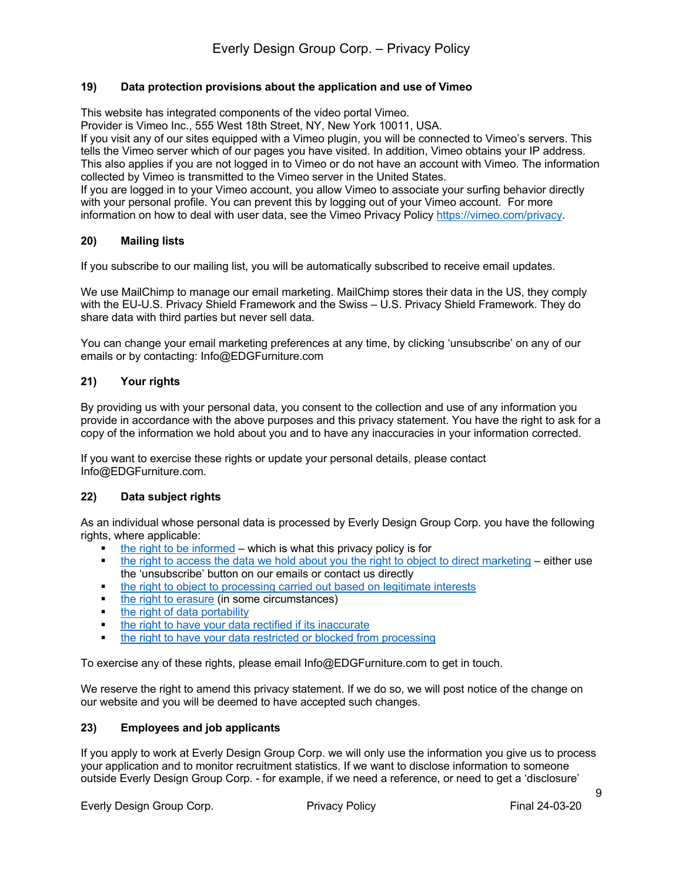## **19) Data protection provisions about the application and use of Vimeo**

This website has integrated components of the video portal Vimeo.

Provider is Vimeo Inc., 555 West 18th Street, NY, New York 10011, USA.

If you visit any of our sites equipped with a Vimeo plugin, you will be connected to Vimeo's servers. This tells the Vimeo server which of our pages you have visited. In addition, Vimeo obtains your IP address. This also applies if you are not logged in to Vimeo or do not have an account with Vimeo. The information collected by Vimeo is transmitted to the Vimeo server in the United States.

If you are logged in to your Vimeo account, you allow Vimeo to associate your surfing behavior directly with your personal profile. You can prevent this by logging out of your Vimeo account. For more information on how to deal with user data, see the Vimeo Privacy Policy https://vimeo.com/privacy.

## **20) Mailing lists**

If you subscribe to our mailing list, you will be automatically subscribed to receive email updates.

We use MailChimp to manage our email marketing. MailChimp stores their data in the US, they comply with the EU-U.S. Privacy Shield Framework and the Swiss – U.S. Privacy Shield Framework. They do share data with third parties but never sell data.

You can change your email marketing preferences at any time, by clicking 'unsubscribe' on any of our emails or by contacting: Info@EDGFurniture.com

# **21) Your rights**

By providing us with your personal data, you consent to the collection and use of any information you provide in accordance with the above purposes and this privacy statement. You have the right to ask for a copy of the information we hold about you and to have any inaccuracies in your information corrected.

If you want to exercise these rights or update your personal details, please contact Info@EDGFurniture.com.

## **22) Data subject rights**

As an individual whose personal data is processed by Everly Design Group Corp. you have the following rights, where applicable:

- the right to be informed which is what this privacy policy is for
- the right to access the data we hold about you the right to object to direct marketing either use the 'unsubscribe' button on our emails or contact us directly
- the right to object to processing carried out based on legitimate interests
- the right to erasure (in some circumstances)
- **•** the right of data portability
- the right to have your data rectified if its inaccurate
- **the right to have your data restricted or blocked from processing**

To exercise any of these rights, please email Info@EDGFurniture.com to get in touch.

We reserve the right to amend this privacy statement. If we do so, we will post notice of the change on our website and you will be deemed to have accepted such changes.

## **23) Employees and job applicants**

If you apply to work at Everly Design Group Corp. we will only use the information you give us to process your application and to monitor recruitment statistics. If we want to disclose information to someone outside Everly Design Group Corp. - for example, if we need a reference, or need to get a 'disclosure'